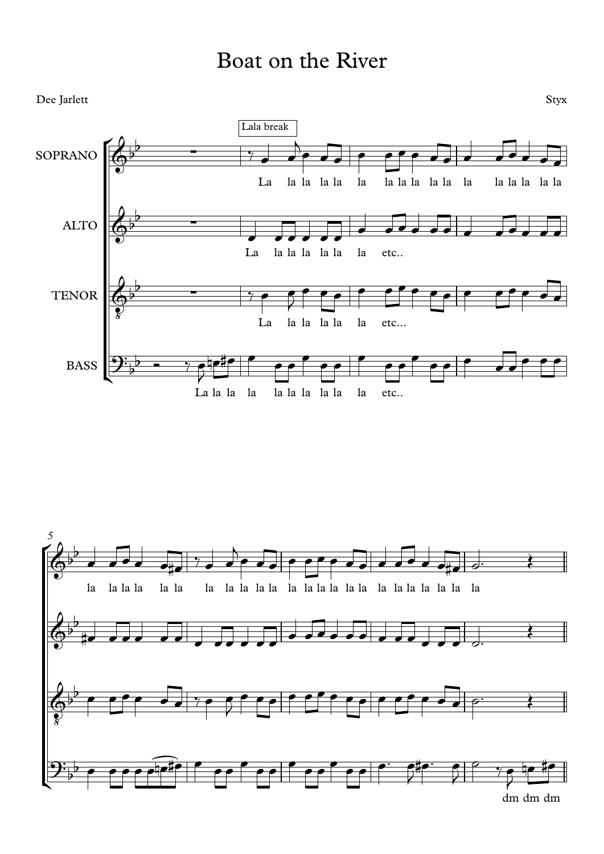## Boat on the River



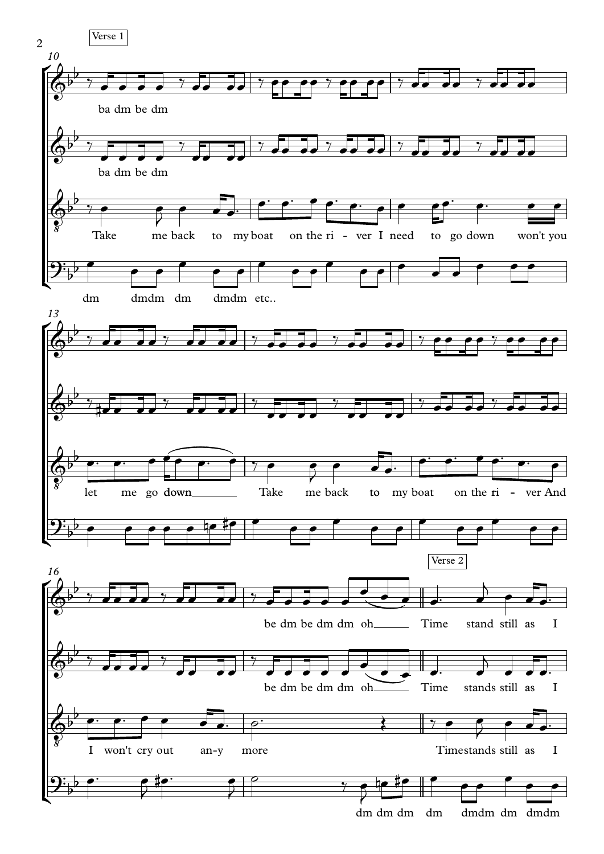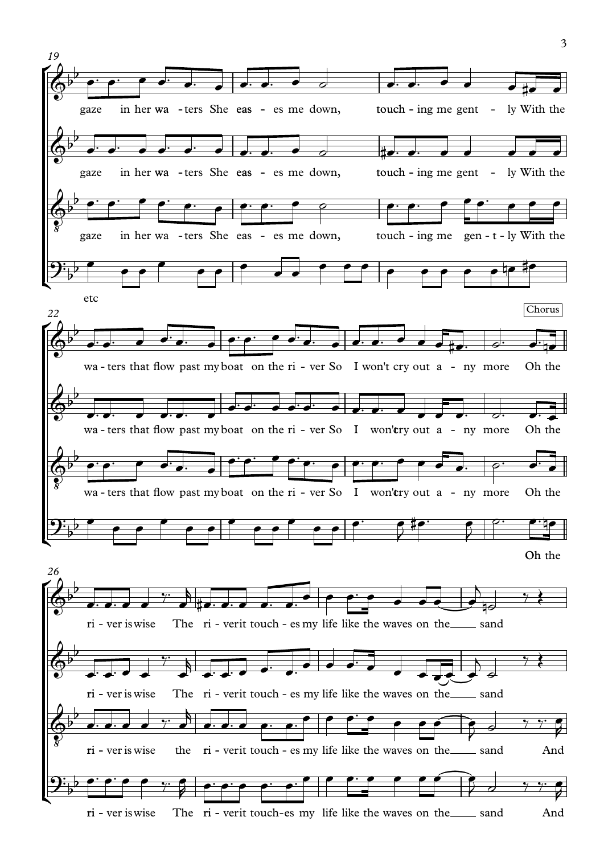

3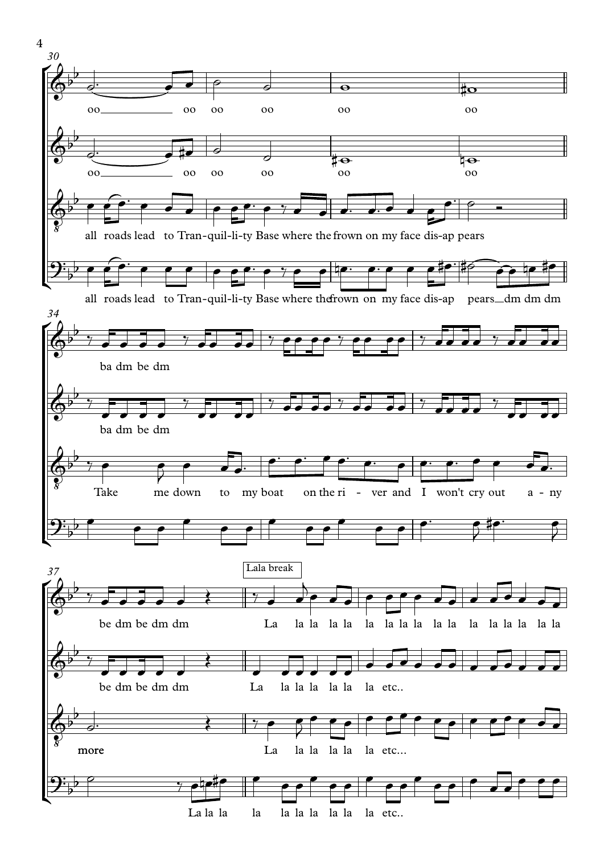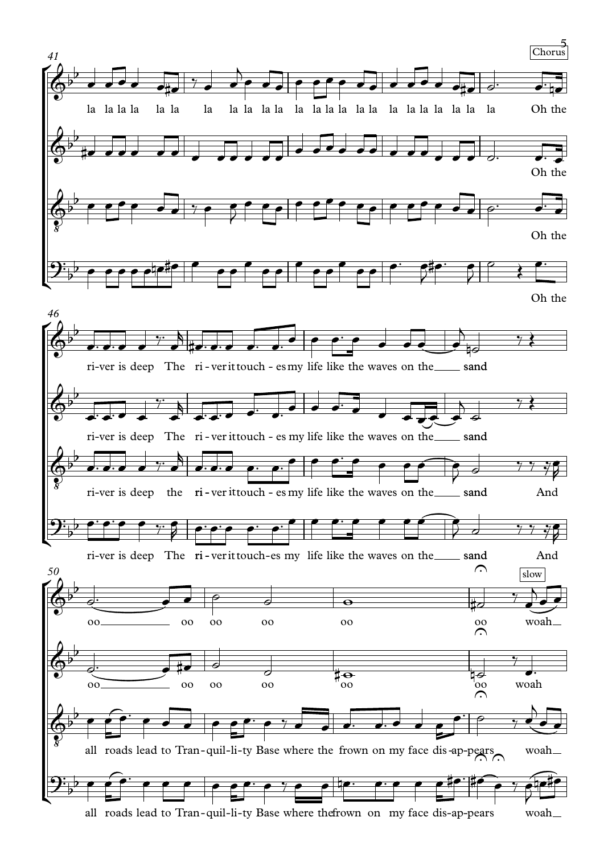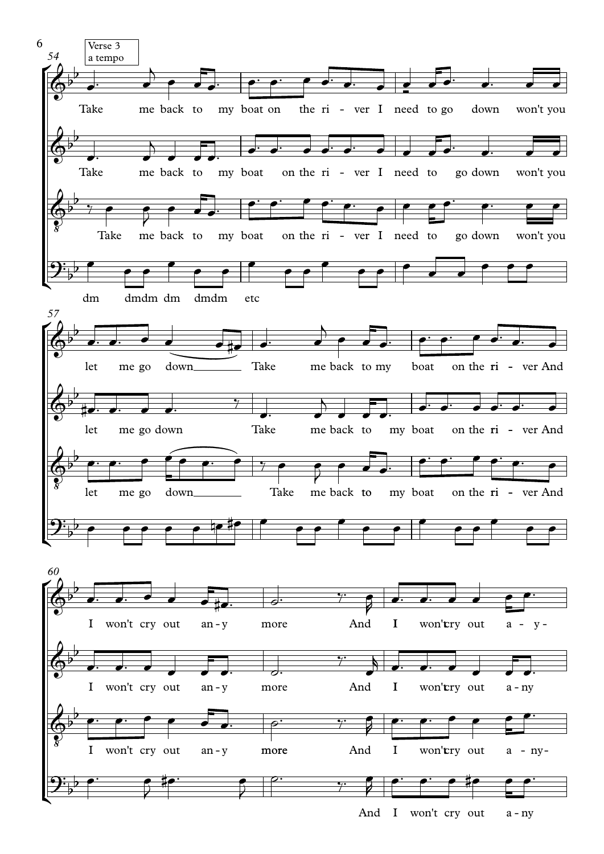